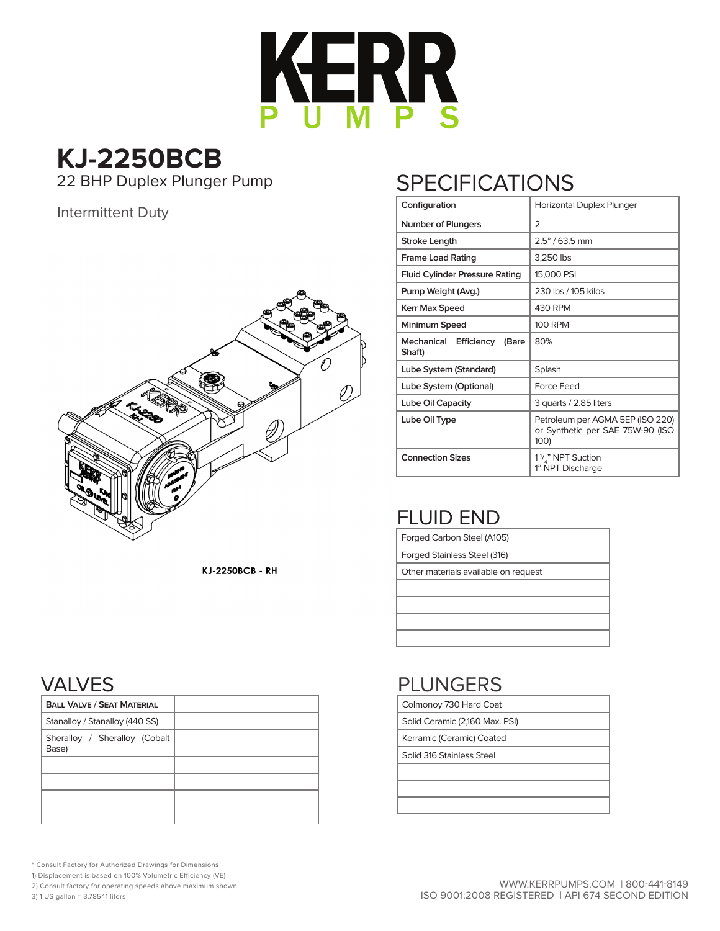

# **KJ-2250BCB**

22 BHP Duplex Plunger Pump

### Intermittent Duty



## **SPECIFICATIONS**

| Configuration                            | Horizontal Duplex Plunger                                                    |  |  |  |  |  |  |  |
|------------------------------------------|------------------------------------------------------------------------------|--|--|--|--|--|--|--|
| <b>Number of Plungers</b>                | 2                                                                            |  |  |  |  |  |  |  |
| Stroke Length                            | $2.5" / 63.5$ mm                                                             |  |  |  |  |  |  |  |
| <b>Frame Load Rating</b>                 | 3,250 lbs                                                                    |  |  |  |  |  |  |  |
| <b>Fluid Cylinder Pressure Rating</b>    | 15,000 PSI                                                                   |  |  |  |  |  |  |  |
| Pump Weight (Avg.)                       | 230 lbs / 105 kilos                                                          |  |  |  |  |  |  |  |
| Kerr Max Speed                           | 430 RPM                                                                      |  |  |  |  |  |  |  |
| Minimum Speed                            | <b>100 RPM</b>                                                               |  |  |  |  |  |  |  |
| Mechanical Efficiency<br>(Bare<br>Shaft) | 80%                                                                          |  |  |  |  |  |  |  |
| Lube System (Standard)                   | Splash                                                                       |  |  |  |  |  |  |  |
| Lube System (Optional)                   | Force Feed                                                                   |  |  |  |  |  |  |  |
| Lube Oil Capacity                        | 3 quarts / 2.85 liters                                                       |  |  |  |  |  |  |  |
| Lube Oil Type                            | Petroleum per AGMA 5EP (ISO 220)<br>or Synthetic per SAE 75W-90 (ISO<br>100) |  |  |  |  |  |  |  |
| <b>Connection Sizes</b>                  | 1 <sup>1</sup> / <sub>s</sub> " NPT Suction<br>1" NPT Discharge              |  |  |  |  |  |  |  |

## FLUID END

Colmonoy 730 Hard Coat Solid Ceramic (2,160 Max. PSI) Kerramic (Ceramic) Coated Solid 316 Stainless Steel

PLUNGERS

| Forged Carbon Steel (A105)           |
|--------------------------------------|
| Forged Stainless Steel (316)         |
| Other materials available on request |
|                                      |
|                                      |
|                                      |
|                                      |

#### **KJ-2250BCB - RH**

## VALVES

| <b>BALL VALVE / SEAT MATERIAL</b>      |  |  |  |  |  |  |  |  |
|----------------------------------------|--|--|--|--|--|--|--|--|
| Stanalloy / Stanalloy (440 SS)         |  |  |  |  |  |  |  |  |
| Sheralloy / Sheralloy (Cobalt<br>Base) |  |  |  |  |  |  |  |  |
|                                        |  |  |  |  |  |  |  |  |
|                                        |  |  |  |  |  |  |  |  |
|                                        |  |  |  |  |  |  |  |  |
|                                        |  |  |  |  |  |  |  |  |

\* Consult Factory for Authorized Drawings for Dimensions

1) Displacement is based on 100% Volumetric Efficiency (VE)

2) Consult factory for operating speeds above maximum shown

3) 1 US gallon = 3.78541 liters

#### WWW.KERRPUMPS.COM | 800-441-8149 ISO 9001:2008 REGISTERED | API 674 SECOND EDITION